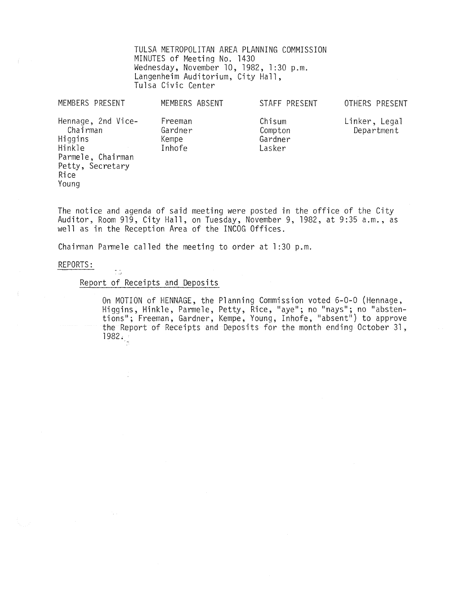TULSA METROPOLITAN AREA PLANNING COMMISSION MINUTES of Meeting No. 1430 Wednesday, November 10, 1982, 1:30 p.m. Langenheim Auditorium, City Hall, Tulsa Civic Center

| MEMBERS PRESENT                                                                                               | MEMBERS ABSENT                        | STAFF PRESENT                          | OTHERS PRESENT              |
|---------------------------------------------------------------------------------------------------------------|---------------------------------------|----------------------------------------|-----------------------------|
| Hennage, 2nd Vice-<br>Chairman<br>Higgins<br>Hinkle<br>Parmele, Chairman<br>Petty, Secretary<br>Rice<br>Young | Freeman<br>Gardner<br>Kempe<br>Inhofe | Chisum<br>Compton<br>Gardner<br>Lasker | Linker, Legal<br>Department |

The notice and agenda of said meeting were posted in the office of the City Auditor, Room 919, City Hall, on Tuesday, November 9, 1982, at 9:35 a.m., as well as in the Reception Area of the INCOG Offices.

Chairman Parmele called the meeting to order at 1 :30 p.m.

## REPORTS:

## Report of Receipts and Deposits

 $\pm$  5

On MOTION of HENNAGE, the Planning Commission voted 6-0-0 (Hennage,<br>Higgins, Hinkle, Parmele, Petty, Rice, "aye"; no "nays"; no "abstentions"; Freeman, Gardner, Kempe, Young, Inhofe, "absent") to approve the Report of Receipts and Deposits for the month ending October 31,  $1982.$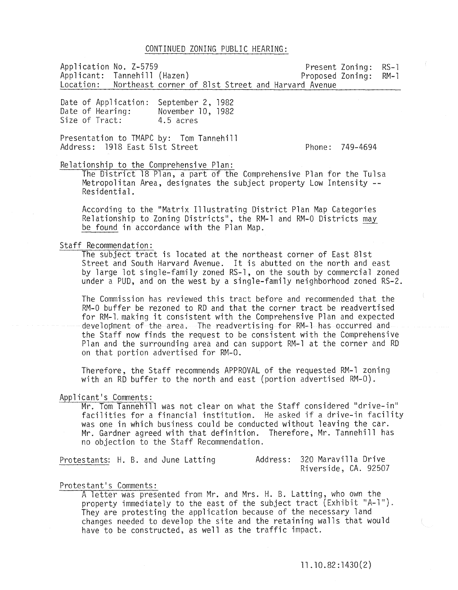#### CONTINUED ZONING PUBLIC HEARING:

Application No. Z-5759<br>
Applicant: Tannehill (Hazen) Proposed Zoning: RM-1 Applicant: Tannehill (Hazen)<br>Location: Northeast corner d Northeast corner of 81st Street and Harvard Avenue

Date of Application: Date of Hearing: Size of Tract: September 2, 1982 November 10, 1982 4.5 acres

Presentation to TMAPC by: Tom Tannehill Address: 1918 East 51st Street

Phone: 749-4694

#### Relationship to the Comprehensive Plan:

The District 18 Plan, a part of the Comprehensive Plan for the Tulsa Metropolitan Area, designates the subject property Low Intensity **--** Residential.

According to the "Matrix Illustrating District Plan Map Categories Relationship to Zoning Districts", the RM-1 and RM-0 Districts may be found in accordance with the Plan Map.

## Staff Recommendation:

The subject tract is located at the northeast corner of East 81st Street and South Harvard Avenue. It is abutted on the north and east by large lot single-family zoned RS-l, on the south by commercial zoned under a PUD, and on the west by a single-family neighborhood zoned RS-2.

The Commission has reviewed this tract before and recommended that the RM-O buffer be rezoned to RD and that the corner tract be readvertised for RM-l, making it consistent with the Comprehensive Plan and expected development of the area. The readvertising for RM-l has occurred and the Staff now finds the request to be consistent with the Comprehensive Plan and the surrounding area and can support RM-l at the corner and RD on that portion advertised for RM-O.

Therefore, the Staff recommends APPROVAL of the requested RM-l zoning with an RD buffer to the north and east (portion advertised RM-O).

#### Applicant's Comments:

Mr. Tom Tannehill was not clear on what the Staff considered "drive-in" facilities for a financial institution. He asked if a drive-in facility was one in which business could be conducted without leaving the car. Mr. Gardner agreed with that definition. Therefore, Mr. Tannehill has no objection to the Staff Recommendation.

Protestants: H. B. and June Latting 320 Maravilla Drive Riverside, CA. 92507

Protestant's Comments:<br>A letter was presented from Mr. and Mrs. H. B. Latting, who own the property immediately to the east of the subject tract (Exhibit "A-1"). They are protesting the application because of the necessary land changes needed to develop the site and the retaining walls that would have to be constructed, as well as the traffic impact.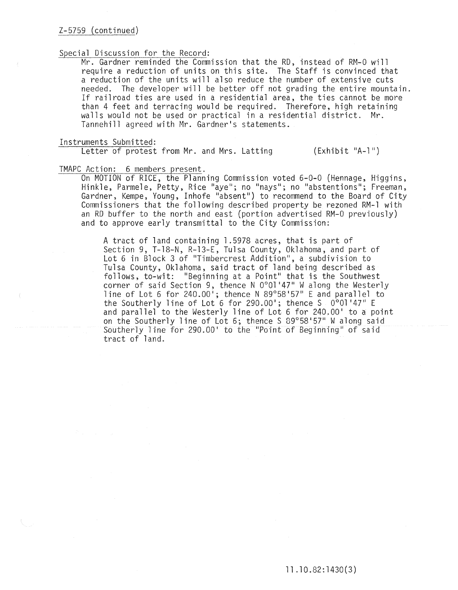# Z-5759 (continued)

## Special Discussion for the Record:

Mr. Gardner reminded the Commission that the RD, instead of RM-O will require a reduction of units on this site. The Staff is convinced that a reduction of the units will also reduce the number of extensive cuts needed. The developer will be better off not grading the entire mountain. If railroad ties are used in a residential area, the ties cannot be more than 4 feet and terracing would be required. Therefore, high retaining walls would not be used or practical in a residential district. Mr. Tannehill agreed with Mr. Gardner's statements.

#### Instruments Submitted:

Letter of protest from Mr. and Mrs. Latting (Exhibit "A-l")

#### TMAPC Action: 6 members present.

On MOTION of RICE, the Planning Commission voted 6-0-0 (Hennage, Higgins, Hinkle, Parmele, Petty, Rice "aye"; no "nays"; no "abstentions"; Freeman, Gardner, Kempe, Young, Inhofe "absent") to recommend to the Board of City Commissioners that the following described property be rezoned RM-l with an RD buffer to the north and east (portion advertised RM-O previously) and to approve early transmittal to the City Commission:

A tract of land containing 1.5978 acres, that is part of Section 9, T-18-N, R-13-E. Tulsa County, Oklahoma, and part of Lot 6 in Block 3 of "Timbercrest Addition", a subdivision to Tulsa County, Oklahoma, said tract of land being described as follows, to-wit: "Beginning at a Point" that is the Southwest corner of said Section 9, thence N 0°01'47" W along the Westerly line of Lot 6 for 240.00'; thence N 89°58'57" E and parallel to the Southerly line of Lot 6 for 290.00'; thence S 0°01'47" E and parallel to the Westerly line of Lot 6 for 240.00' to a point on the Southerly line of Lot 6; thence S 89°58'57" W along said Southerly line for 290.00' to the "Point of Beginning" of said tract of land.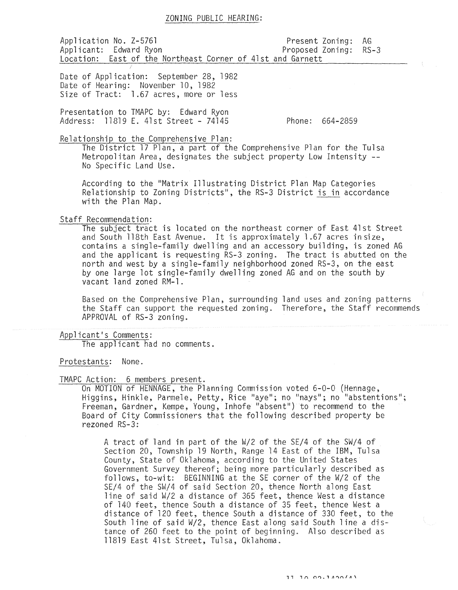# ZONING PUBLIC HEARING:

Application No. Z-5761 extending the Present Zoning: AG Applicant: Edward Ryon entitled a proposed Zoning: RS-3 Location: East of the Northeast Corner of 41st and Garnett

Date of Application: September 28, 1982 Date of Hearing: November 10, 1982 Size of Tract: 1.67 acres, more or less

Presentation to TMAPC by: Edward Ryon Address: 11819 E. 41st Street - 74145

Phone: 664-2859

Relationship to the Comprehensive Plan:

The District **17** Plan, a part of the Comprehensive Plan for the Tulsa Metropolitan Area, designates the subject property Low Intensity --<br>No Specific Land Use.

According to the "Matrix Illustrating District Plan Map Categories Relationship to Zoning Districts", the RS-3 District is in accordance with the Plan Map.

Staff Recommendation:

The subject tract is located on the northeast corner of East 41st Street and South 118th East Avenue. It is approximately 1.67 acres in size, contains a single-family dwelling and an accessory building, is zoned AG and the applicant is requesting RS-3 zoning. The tract is abutted on the north and west by a single-family neighborhood zoned RS-3, on the east by one large lot single-fami1y dwelling zoned AG and on the south by vacant land zoned RM-l.

Based on the Comprehensive Plan, surrounding land uses and zoning patterns the Staff can support the requested zoning. Therefore, the Staff recommends APPROVAL of RS-3 zoning.

Applicant's Comments: The applicant had no comments.

Protestants: None.

TMAPC Action: 6 members present.

On MOTION of HENNAGE, the Planning Commission voted 6-0-0 (Hennage. Higgins, Hinkle, Parmele, Petty, Rice "aye"; no "nays"; no "abstentions"; Freeman, Gardner, Kempe, Young, Inhofe "absent") to recommend to the Board of City Commissioners that the following described property be rezoned RS-3:

A tract of land in part of the W/2 of the SE/4 of the SW/4 of Section 20, Township 19 North, Range 14 East of the IBM, Tulsa County, State of Oklahoma, according to the United States Government Survey thereof; being more particularly described as follows, to-wit: BEGINNING at the SE corner of the W/2 of the SE/4 of the SW/4 of said Section 20, thence North along East line of said W/2 a distance of 365 feet, thence West a distance of 140 feet, thence South a distance of 35 feet, thence West a distance of 120 feet, thence South a distance of 330 feet, to the South line of said W/2, thence East along said South line a distance of 260 feet to the point of beginning. Also described as 11819 East 41st Street, Tulsa, Oklahoma.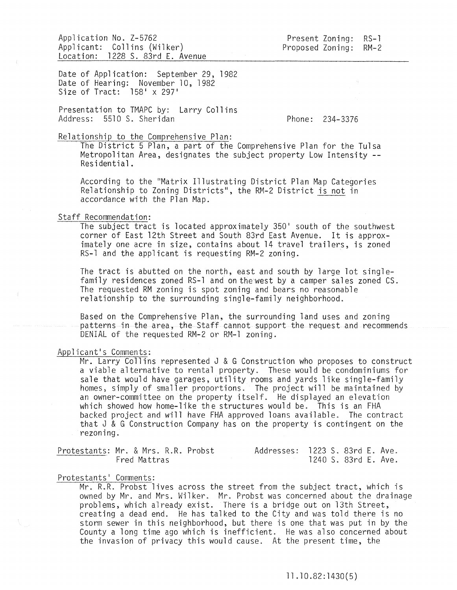Application No. Z-5762 Applicant: Collins (Wilker) Location: 1228 S. 83rd E. Avenue

Present Zoning: RS-1 Proposed Zoning:  $RM-2$ 

Date of Application: September 29, 1982 Date of Hearing: November 10, 1982 Size of Tract: 158' x 297'

Presentation to TMAPC by: Larry Collins Address: 5510 S. Sheridan

Phone: 234-3376

# Relationship to the Comprehensive Plan:

The District 5 Plan, a part of the Comprehensive Plan for the Tulsa Metropolitan Area, designates the subject property Low Intensity -- Residential.

According to the "Matrix Illustrating District Plan Map Categories Relationship to Zoning Districts", the RM-2 District <u>is not</u> in accordance with the Plan Map.

## Staff Recommendation:

The subject tract is located approximately 350' south of the southwest corner of East 12th Street and South 83rd East Avenue. It is approximately one acre in size, contains about 14 travel trailers, is zoned RS-l and the applicant is requesting RM-2 zoning.

The tract is abutted on the north, east and south by large lot singlefamily residences zoned RS-l and on thewest by a camper sales zoned CS. The requested RM zoning is spot zoning and bears no reasonable relationship to the surrounding single-family neighborhood.

Based on the Comprehensive Plan, the surrounding land uses and zoning patterns in the area, the Staff cannot support the request and recommends DENIAL of the requested RM-2 or RM-l zoning.

## Applicant's Comments:

 $Mr.$  Larry Collins represented J & G Construction who proposes to construct a viable alternative to rental property. These would be condominiums for sale that would have garages, utility rooms and yards like single-family homes, simply of smaller proportions. The project will be maintained by an owner-committee on the property itself. He displayed an elevation which showed how home-like the structures would be. This is an FHA backed project and will have FHA approved loans available. The contract that J & G Construction Company has on the property is contingent on the rezoning.

| Protestants: Mr. & Mrs. R.R. Probst |              |  | Addresses: 1223 S. 83rd E. Ave. |  |                      |  |
|-------------------------------------|--------------|--|---------------------------------|--|----------------------|--|
|                                     | Fred Mattras |  |                                 |  | 1240 S. 83rd E. Ave. |  |

## Protestants' Comments:

Mr. R.R. Probst lives across the street from the subject tract, which is owned by Mr. and Mrs. Wilker. Mr. Probst was concerned about the drainage problems, which already exist. There is a bridge out on 13th Street, creating a dead end. He has talked to the City and was told there is no storm sewer in this neighborhood, but there is one that was put in by the County a long time ago which is inefficient. He was also concerned about the invasion of privacy this would cause. At the present time, the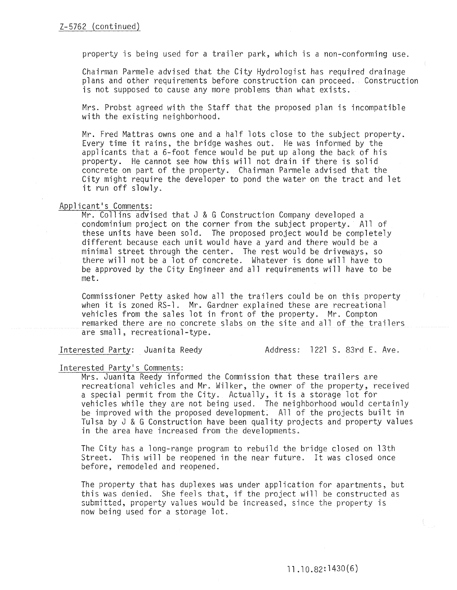property is being used for a trailer park, which is a non-conforming use.

Chairman Parmele advised that the City Hydrologist has required drainage plans and other requirements before construction can proceed. Construction is not supposed to cause any more problems than what exists.

Mrs. Probst agreed with the Staff that the proposed plan is incompatible with the existing neighborhood.

Mr. Fred Mattras owns one and a half lots close to the subject property. Every time it rains, the bridge washes out. He was informed by the applicants that a 6-foot fence would be put up along the back of his property. He cannot see how this will not drain if there is solid concrete on part of the property. Chairman Parmele advised that the City might require the developer to pond the water on the tract and let it run off slowly.

## Applicant's Comments:

Mr. Collins advised that J & G Construction Company developed a condominium project on the corner from the subject property. All of these units have been sold. The proposed project would be completely different because each unit would have a yard and there would be a minimal street through the center. The rest would be driveways, so there will not be a lot of concrete. Whatever is done will have to be approved by the City Engineer and all requirements will have to be met.

Commissioner Petty asked how all the trailers could be on this property when it is zoned RS-l. Mr. Gardner explained these are recreational vehicles from the sales lot in front of the property. Mr. Compton remarked there are no concrete slabs on the site and all of the trailers are small, recreational-type.

Interested Party: Juanita Reedy (Address: 1221 S. 83rd E. Ave.

#### Interested Party's Comments:

Mrs. Juanita Reedy informed the Commission that these trailers are recreational vehicles and Mr. Wilker, the owner of the property, received a special permit from the City. Actually, it is a storage lot for vehicles while they are not being used. The neighborhood would certainly be improved with the proposed development. All of the projects built in Tulsa by J & G Construction have been quality projects and property values in the area have increased from the developments.

The City has a long-range program to rebuild the bridge closed on 13th Street. This will be reopened in the near future. It was closed once before, remodeled and reopened.

The property that has duplexes was under application for apartments, but this was denied. She feels that, if the project will be constructed as submitted, property values would be increased, since the property is now being used for a storage lot.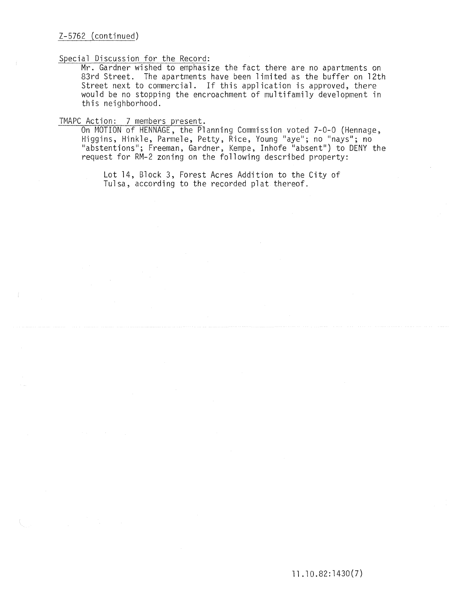## Special Discussion for the Record:

Mr. Gardner wished to emphasize the fact there are no apartments on 83rd Street. The apartments have been limited as the buffer on 12th Street next to commercial. If this application is approved, there would be no stopping the encroachment of multifamily development in this neighborhood.

## TMAPC Action: 7 members present.

On MOTION of HENNAGE, the Planning Commission voted 7-0-0 (Hennage, Higgins, Hinkle, Parmele, Petty, Rice, Young "aye"; no "nays"; no "abstentions"; Freeman, Gardner, Kempe, Inhofe "absent") to DENY the request for RM-2 zoning on the following described property:

Lot 14, Block 3, Forest Acres Addition to the City of Tulsa, according to the recorded plat thereof.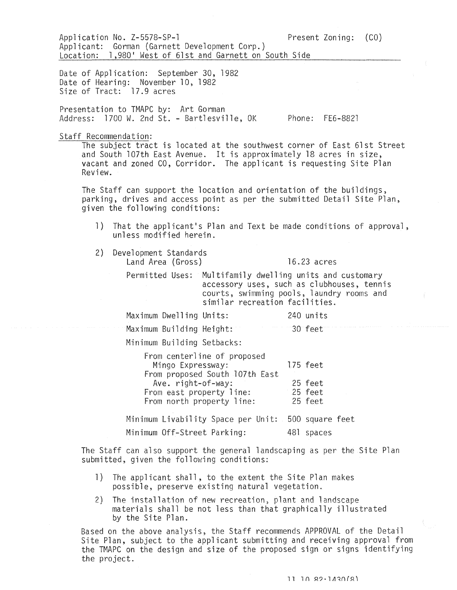|                                  | Application No. Z-5578-SP-1<br>Applicant: Gorman (Garnett Development Corp.)        | Location: 1,980' West of 61st and Garnett on South Side                                                                | Present Zoning: (CO)                                                                                                                                                                                                                 |  |
|----------------------------------|-------------------------------------------------------------------------------------|------------------------------------------------------------------------------------------------------------------------|--------------------------------------------------------------------------------------------------------------------------------------------------------------------------------------------------------------------------------------|--|
| Size of Tract: 17.9 acres        | Date of Application: September 30, 1982<br>Date of Hearing: November 10, 1982       |                                                                                                                        |                                                                                                                                                                                                                                      |  |
|                                  | Presentation to TMAPC by: Art Gorman<br>Address: 1700 W. 2nd St. - Bartlesville, OK |                                                                                                                        | Phone: FE6-8821                                                                                                                                                                                                                      |  |
| Staff Recommendation:<br>Review. |                                                                                     |                                                                                                                        | The subject tract is located at the southwest corner of East 61st Street<br>and South 107th East Avenue. It is approximately 18 acres in size,<br>vacant and zoned CO, Corridor. The applicant is requesting Site Plan               |  |
|                                  | given the following conditions:                                                     |                                                                                                                        | The Staff can support the location and orientation of the buildings,<br>parking, drives and access point as per the submitted Detail Site Plan,                                                                                      |  |
| $\left  \cdot \right $           | unless modified herein.                                                             |                                                                                                                        | That the applicant's Plan and Text be made conditions of approval,                                                                                                                                                                   |  |
| 2)                               | Development Standards<br>Land Area (Gross)                                          |                                                                                                                        | 16.23 acres                                                                                                                                                                                                                          |  |
|                                  |                                                                                     | similar recreation facilities.                                                                                         | Permitted Uses: Multifamily dwelling units and customary<br>accessory uses, such as clubhouses, tennis<br>courts, swimming pools, laundry rooms and                                                                                  |  |
|                                  | Maximum Dwelling Units:                                                             |                                                                                                                        | 240 units                                                                                                                                                                                                                            |  |
|                                  | Maximum Building Height:                                                            |                                                                                                                        | 30 feet                                                                                                                                                                                                                              |  |
|                                  | Minimum Building Setbacks:                                                          |                                                                                                                        |                                                                                                                                                                                                                                      |  |
|                                  | Mingo Expressway:<br>Ave. right-of-way:                                             | From centerline of proposed<br>From proposed South 107th East<br>From east property line:<br>From north property line: | 175 feet<br>25 feet<br>25 feet<br>25 feet                                                                                                                                                                                            |  |
|                                  |                                                                                     | Minimum Livability Space per Unit: 500 square feet                                                                     |                                                                                                                                                                                                                                      |  |
|                                  | Minimum Off-Street Parking:                                                         |                                                                                                                        | 481 spaces                                                                                                                                                                                                                           |  |
|                                  | submitted, given the following conditions:                                          |                                                                                                                        | The Staff can also support the general landscaping as per the Site Plan                                                                                                                                                              |  |
| 1)                               |                                                                                     | The applicant shall, to the extent the Site Plan makes<br>possible, preserve existing natural vegetation.              |                                                                                                                                                                                                                                      |  |
| 2)                               | by the Site Plan.                                                                   | The installation of new recreation, plant and landscape                                                                | materials shall be not less than that graphically illustrated                                                                                                                                                                        |  |
|                                  |                                                                                     |                                                                                                                        | Based on the above analysis, the Staff recommends APPROVAL of the Detail<br>Site Plan, subject to the applicant submitting and receiving approval from<br>the TMAPC on the design and size of the proposed sign or signs identifying |  |

the project.

11 10 82.1430/81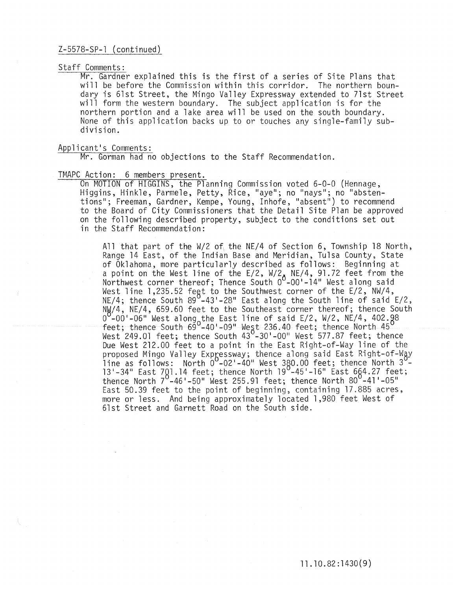## Z-5578-SP-l (continued)

#### Staff Comments:

Mr. Gardner explained this is the first of a series of Site Plans that will be before the Commission within this corridor. The northern boundary is 61st Street, the Mingo Valley Expressway extended to 7lst Street will form the western boundary. The subject application is for the northern portion and a lake area will be used on the south boundary. None of this application backs up to or touches any single-family subdivision.

## Applicant's Comments:

Mr. Gorman had no objections to the Staff Recommendation.

TMAPC Action: 6 members present.<br>On MOTION of HIGGINS, the Planning Commission voted 6-0-0 (Hennage, On MOTION of HIGGINS, the Planning Commission voted 6-0-0 (Hennage,<br>Higgins, Hinkle, Parmele, Petty, Rice, "aye"; no "nays"; no "abstentions"; Freeman, Gardner, Kempe, Young, Inhofe, "absent") to recommend to the Board of City Commissioners that the Detail Site Plan be approved on the following described property, subject to the conditions set out in the Staff Recommendation:

> All that part of the  $W/2$  of the NE/4 of Section 6, Township 18 North, Range 14 East, of the Indian Base and Meridian, Tulsa County, State of Oklahoma, more particularly described as follows: Beginning at a point on the West line of the E/2, W/2<sub>A</sub> NE/4, 91.72 feet from the Northwest corner thereof; Thence South O<sup>o</sup>-OO'-14" West along said West line 1,235.52 fegt to the Southwest corner of the E/2,  $\texttt{NW}/4$ ,  $NE/4$ ; thence South 89 $^{\circ}$ -43'-28" East along the South line of said E/2, NW/4, NE/4, 659.60 feet to the Southeast corner thereof; thence South  $\frac{1}{100}$  -00'-06" West along the East line of said E/2, W/2, NE/4, 402.88 feet; thence South 69 -40'-09" West 236.40 feet; thence North 45 West 249.01 feet; thence South 43 $^{\mathrm{O}}$ -30'-00" West 577.87 feet; thence Due West 212.00 feet to a point in the East Right-of-Way line of the proposed Mingo Valley Expressway; thence along said East Right-of-Way line as follows: North  $0^{\sf o}$ -02'-40" West 380.00 feet; thence North 3 $^{\sf o}$ -13'-34" East 7Q1.14 feet; thence North 19<sup>0</sup>-45'-16" East 664.27 feet; thence North  $7^0$ -46'-50" West 255.91 feet; thence North 80 $^0$ -41'-05" East 50.39 feet to the point of beginning, containing 17.885 acres, more or less. And being approximately located 1,980 feet West of 61st Street and Garnett Road on the South side.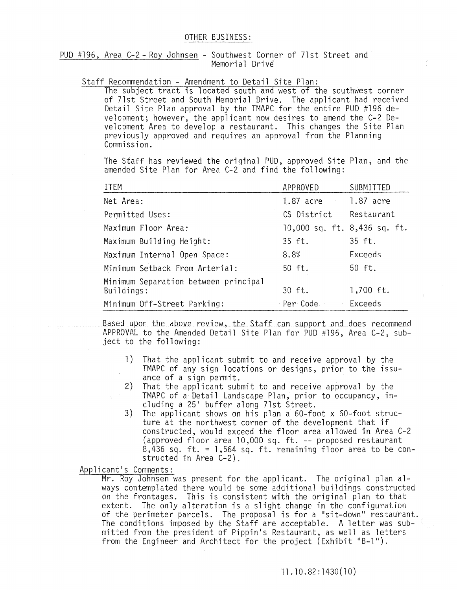PUD #196, Area C-2 - Roy Johnsen - Southwest Corner of 71st Street and Memorial Drive

#### Staff Recommendation - Amendment to Detail Site Plan:

The subject tract is located south and west of the southwest corner of 7lst Street and South Memorial Drive. The applicant had received Detail Site Plan approval by the TMAPC for the entire PUD #196 development; however, the applicant now desires to amend the C-2 De~ velopment Area to develop a restaurant. This changes the Site Plan previously approved and requires an approval from the Planning Commission.

The Staff has reviewed the original PUD, approved Site Plan, and the amended Site Plan for Area C-2 and find the following:

| <b>ITEM</b>                                        | APPROVED                     | SUBMITTED  |  |
|----------------------------------------------------|------------------------------|------------|--|
| Net Area:                                          | 1.87 acre                    | 1.87 acre  |  |
| Permitted Uses:                                    | CS District                  | Restaurant |  |
| Maximum Floor Area:                                | 10,000 sq. ft. 8,436 sq. ft. |            |  |
| Maximum Building Height:                           | 35 ft.                       | 35 ft.     |  |
| Maximum Internal Open Space:                       | 8.8%                         | Exceeds    |  |
| Minimum Setback From Arterial:                     | 50 ft.                       | 50 ft.     |  |
| Minimum Separation between principal<br>Buildings: | 30 ft.                       | 1,700 ft.  |  |
| Minimum Off-Street Parking:                        | Per Code                     | Exceeds    |  |

Based upon the above review, the Staff can support and does recommend APPROVAL to the Amended Detail Site Plan for PUD #196, Area C-2, subject to the following:

- 1) That the applicant submit to and receive approval by the TMAPC of any sign locations or designs, prior to the issuance of a sign permit.
- 2) That the applicant submit to and receive approval by the TMAPC of a Detail Landscape Plan, prior to occupancy, including a 25' buffer along 7lst Street.
- 3) The applicant shows on his plan a 60-foot x 60-foot structure at the northwest corner of the development that if constructed, would exceed the floor area allowed in Area C-2 (approved floor area 10,000 sq. ft. -- proposed restaurant  $8,436$  sq. ft. = 1,564 sq. ft. remaining floor area to be constructed in Area C-2).

Applicant's Comments:

Mr. Roy Johnsen was present for the applicant. The original plan always contemplated there would be some additional buildings constructed on the frontages. This is consistent with the original plan to that extent. The only alteration is a slight change in the configuration of the perimeter parcels. The proposal is for a "sit-down" restaurant. The conditions imposed by the Staff are acceptable. A letter was submitted from the president of Pippin's Restaurant, as well as letters from the Engineer and Architect for the project (Exhibit "B-1").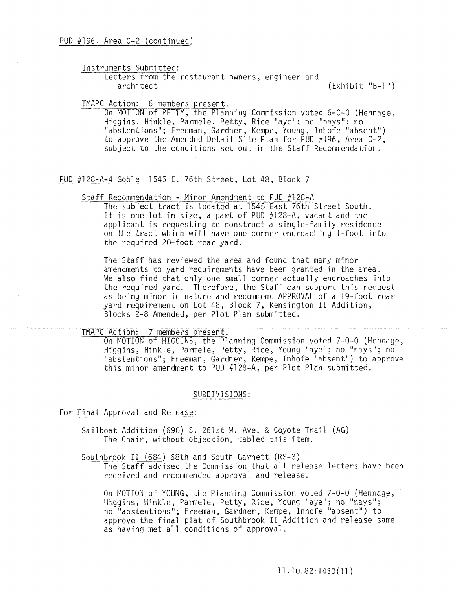Instruments Submitted:

Letters from the restaurant owners, engineer and<br>architect

 $(\text{Exhibit "B-1"})$ 

TMAPC Action: 6 members present.

On MOTION of PETTY, the Planning Commission voted 6-0-0 (Hennage, Higgins, Hinkle, Parmele, Petty, Rice "aye"; no "nays"; no "abstentions"; Freeman, Gardner, Kempe, Young, Inhofe "absent") to approve the Amended Detail Site Plan for PUD #196, Area C-2, subject to the conditions set out in the Staff Recommendation.

PUD #128-A-4 Goble 1545 E. 76th Street, Lot 48, Block 7

Staff Recommendation - Minor Amendment to PUD #128-A

The subject tract is located at 1545 East 76th Street South. It is one lot in size, a part of PUD #128-A, vacant and the applicant is requesting to construct a single-family residence on the tract which will have one corner encroaching l-foot into the required 20-foot rear yard.

The Staff has reviewed the area and found that many minor amendments to yard requirements have been granted in the area. We also find that only one small corner actually encroaches into the required yard. Therefore, the Staff can support this request as being minor in nature and recommend APPROVAL of a 19-foot rear yard requirement on Lot 48, Block 7, Kensington II Addition, Blocks 2-8 Amended, per Plot Plan submitted.

TMAPC Action: 7 members present.

On MOTION of HIGGINS, the Planning Commission voted 7-0-0 (Hennage, Higgins, Hinkle, Parmele, Petty, Rice, Young "aye"; no "nays"; no "abstentions"; Freeman, Gardner, Kempe, Inhofe "absent") to approve this minor amendment to PUD #128-A, per Plot Plan submitted.

#### SUBDIVISIONS:

For Final Approval and Release:

Sailboat Addition (690) S. 261st W. Ave. & Coyote Trail (AG) The Chair, without objection, tabled this item.

Southbrook II (684) 68th and South Garnett (RS-3)

The Staff advised the Commission that all release letters have been received and recommended approval and release.

On MOTION of YOUNG, the Planning Commission voted  $7-0-0$  (Hennage, Higgins, Hinkle, Parmele, Petty, Rice, Young "aye"; no "nays"; no "abstentions"; Freeman, Gardner, Kempe, Inhofe "absent") to approve the final plat of Southbrook II Addition and release same as having met all conditions of approval.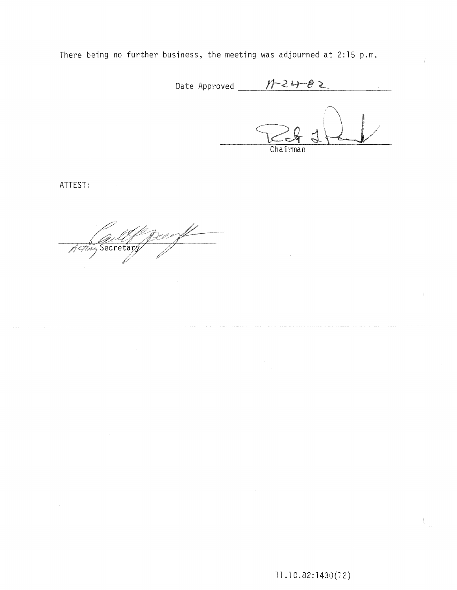There being no further business, the meeting was adjourned at 2:15 p.m.

Date Approved  $M-2--\ell$ 

 $Chairman$ 

ATTEST:

Active Secretary